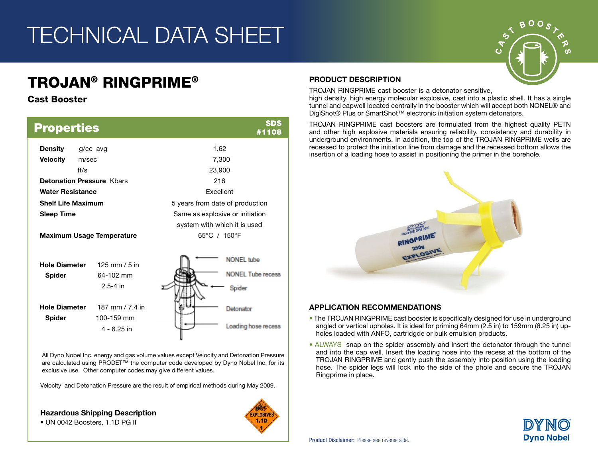# TECHNICAL DATA SHEET

## TROJAN® RINGPRIME®

### Cast Booster

| <b>Properties</b>                     |                                                | <b>SDS</b><br>#1108                                     |  |  |  |  |
|---------------------------------------|------------------------------------------------|---------------------------------------------------------|--|--|--|--|
| <b>Density</b>                        | g/cc avg                                       | 1.62                                                    |  |  |  |  |
| <b>Velocity</b>                       | m/sec                                          | 7,300                                                   |  |  |  |  |
|                                       | ft/s                                           | 23,900                                                  |  |  |  |  |
|                                       | <b>Detonation Pressure Khars</b>               | 216                                                     |  |  |  |  |
| <b>Water Resistance</b>               |                                                | <b>Fxcellent</b>                                        |  |  |  |  |
| <b>Shelf Life Maximum</b>             |                                                | 5 years from date of production                         |  |  |  |  |
| <b>Sleep Time</b>                     |                                                | Same as explosive or initiation                         |  |  |  |  |
|                                       |                                                | system with which it is used                            |  |  |  |  |
|                                       | <b>Maximum Usage Temperature</b>               | 65°C / 150°F                                            |  |  |  |  |
| <b>Hole Diameter</b><br><b>Spider</b> | 125 mm $/5$ in<br>64-102 mm<br>$2.5 - 4$ in    | <b>NONEL</b> tube<br><b>NONEL Tube recess</b><br>Spider |  |  |  |  |
| <b>Hole Diameter</b><br><b>Spider</b> | 187 mm / 7.4 in<br>100-159 mm<br>$4 - 6.25$ in | Detonator<br>Loading hose recess                        |  |  |  |  |

All Dyno Nobel Inc. energy and gas volume values except Velocity and Detonation Pressure are calculated using PRODET™ the computer code developed by Dyno Nobel Inc. for its exclusive use. Other computer codes may give different values.

Velocity and Detonation Pressure are the result of empirical methods during May 2009.

Hazardous Shipping Description

• UN 0042 Boosters, 1.1D PG II



### PRODUCT DESCRIPTION

TROJAN RINGPRIME cast booster is a detonator sensitive,

high density, high energy molecular explosive, cast into a plastic shell. It has a single tunnel and capwell located centrally in the booster which will accept both NONEL® and DigiShot® Plus or SmartShot™ electronic initiation system detonators.

TROJAN RINGPRIME cast boosters are formulated from the highest quality PETN and other high explosive materials ensuring reliability, consistency and durability in underground environments. In addition, the top of the TROJAN RINGPRIME wells are recessed to protect the initiation line from damage and the recessed bottom allows the insertion of a loading hose to assist in positioning the primer in the borehole.



### APPLICATION RECOMMENDATIONS

- The TROJAN RINGPRIME cast booster is specifically designed for use in underground angled or vertical upholes. It is ideal for priming 64mm (2.5 in) to 159mm (6.25 in) upholes loaded with ANFO, cartridgde or bulk emulsion products.
- ALWAYS snap on the spider assembly and insert the detonator through the tunnel and into the cap well. Insert the loading hose into the recess at the bottom of the TROJAN RINGPRIME and gently push the assembly into position using the loading hose. The spider legs will lock into the side of the phole and secure the TROJAN Ringprime in place.